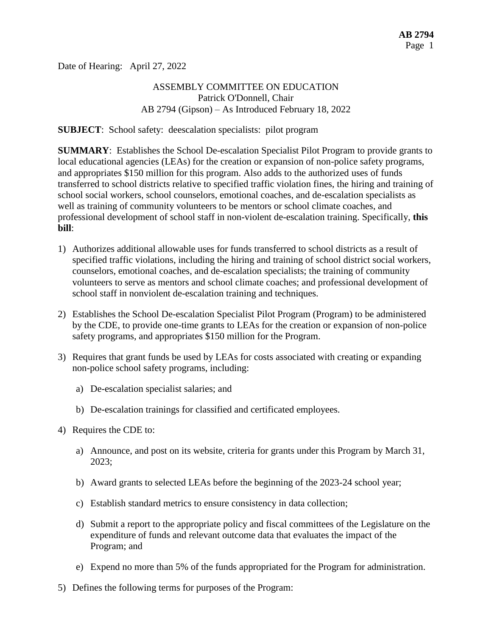Date of Hearing: April 27, 2022

### ASSEMBLY COMMITTEE ON EDUCATION Patrick O'Donnell, Chair AB 2794 (Gipson) – As Introduced February 18, 2022

**SUBJECT**: School safety: deescalation specialists: pilot program

**SUMMARY**: Establishes the School De-escalation Specialist Pilot Program to provide grants to local educational agencies (LEAs) for the creation or expansion of non-police safety programs, and appropriates \$150 million for this program. Also adds to the authorized uses of funds transferred to school districts relative to specified traffic violation fines, the hiring and training of school social workers, school counselors, emotional coaches, and de-escalation specialists as well as training of community volunteers to be mentors or school climate coaches, and professional development of school staff in non-violent de-escalation training. Specifically, **this bill**:

- 1) Authorizes additional allowable uses for funds transferred to school districts as a result of specified traffic violations, including the hiring and training of school district social workers, counselors, emotional coaches, and de-escalation specialists; the training of community volunteers to serve as mentors and school climate coaches; and professional development of school staff in nonviolent de-escalation training and techniques.
- 2) Establishes the School De-escalation Specialist Pilot Program (Program) to be administered by the CDE, to provide one-time grants to LEAs for the creation or expansion of non-police safety programs, and appropriates \$150 million for the Program.
- 3) Requires that grant funds be used by LEAs for costs associated with creating or expanding non-police school safety programs, including:
	- a) De-escalation specialist salaries; and
	- b) De-escalation trainings for classified and certificated employees.
- 4) Requires the CDE to:
	- a) Announce, and post on its website, criteria for grants under this Program by March 31, 2023;
	- b) Award grants to selected LEAs before the beginning of the 2023-24 school year;
	- c) Establish standard metrics to ensure consistency in data collection;
	- d) Submit a report to the appropriate policy and fiscal committees of the Legislature on the expenditure of funds and relevant outcome data that evaluates the impact of the Program; and
	- e) Expend no more than 5% of the funds appropriated for the Program for administration.
- 5) Defines the following terms for purposes of the Program: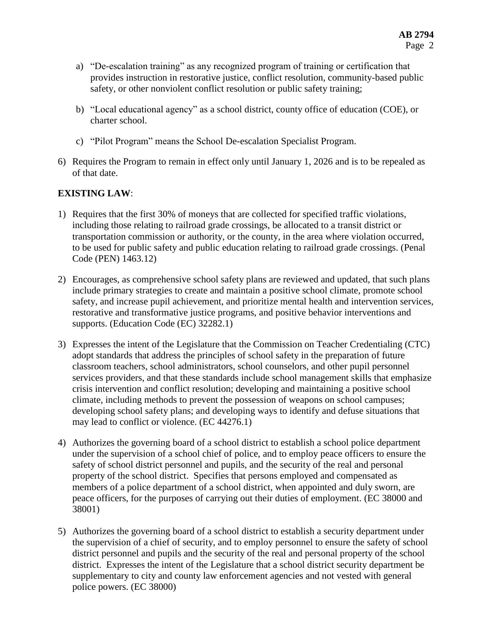- a) "De-escalation training" as any recognized program of training or certification that provides instruction in restorative justice, conflict resolution, community-based public safety, or other nonviolent conflict resolution or public safety training;
- b) "Local educational agency" as a school district, county office of education (COE), or charter school.
- c) "Pilot Program" means the School De-escalation Specialist Program.
- 6) Requires the Program to remain in effect only until January 1, 2026 and is to be repealed as of that date.

# **EXISTING LAW**:

- 1) Requires that the first 30% of moneys that are collected for specified traffic violations, including those relating to railroad grade crossings, be allocated to a transit district or transportation commission or authority, or the county, in the area where violation occurred, to be used for public safety and public education relating to railroad grade crossings. (Penal Code (PEN) 1463.12)
- 2) Encourages, as comprehensive school safety plans are reviewed and updated, that such plans include primary strategies to create and maintain a positive school climate, promote school safety, and increase pupil achievement, and prioritize mental health and intervention services, restorative and transformative justice programs, and positive behavior interventions and supports. (Education Code (EC) 32282.1)
- 3) Expresses the intent of the Legislature that the Commission on Teacher Credentialing (CTC) adopt standards that address the principles of school safety in the preparation of future classroom teachers, school administrators, school counselors, and other pupil personnel services providers, and that these standards include school management skills that emphasize crisis intervention and conflict resolution; developing and maintaining a positive school climate, including methods to prevent the possession of weapons on school campuses; developing school safety plans; and developing ways to identify and defuse situations that may lead to conflict or violence. (EC 44276.1)
- 4) Authorizes the governing board of a school district to establish a school police department under the supervision of a school chief of police, and to employ peace officers to ensure the safety of school district personnel and pupils, and the security of the real and personal property of the school district. Specifies that persons employed and compensated as members of a police department of a school district, when appointed and duly sworn, are peace officers, for the purposes of carrying out their duties of employment. (EC 38000 and 38001)
- 5) Authorizes the governing board of a school district to establish a security department under the supervision of a chief of security, and to employ personnel to ensure the safety of school district personnel and pupils and the security of the real and personal property of the school district. Expresses the intent of the Legislature that a school district security department be supplementary to city and county law enforcement agencies and not vested with general police powers. (EC 38000)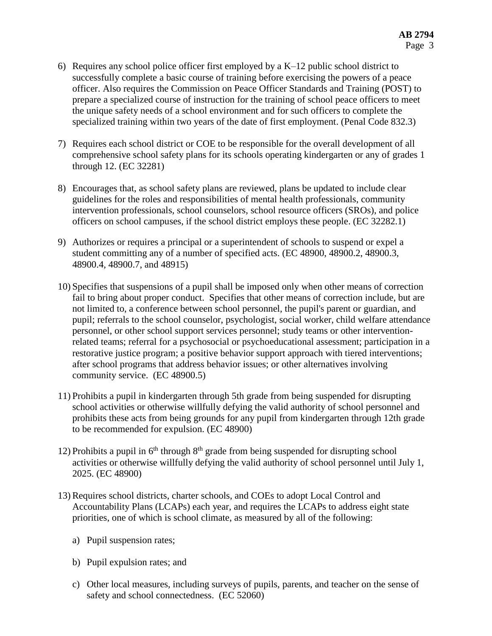- 6) Requires any school police officer first employed by a  $K-12$  public school district to successfully complete a basic course of training before exercising the powers of a peace officer. Also requires the Commission on Peace Officer Standards and Training (POST) to prepare a specialized course of instruction for the training of school peace officers to meet the unique safety needs of a school environment and for such officers to complete the specialized training within two years of the date of first employment. (Penal Code 832.3)
- 7) Requires each school district or COE to be responsible for the overall development of all comprehensive school safety plans for its schools operating kindergarten or any of grades 1 through 12. (EC 32281)
- 8) Encourages that, as school safety plans are reviewed, plans be updated to include clear guidelines for the roles and responsibilities of mental health professionals, community intervention professionals, school counselors, school resource officers (SROs), and police officers on school campuses, if the school district employs these people. (EC 32282.1)
- 9) Authorizes or requires a principal or a superintendent of schools to suspend or expel a student committing any of a number of specified acts. (EC 48900, 48900.2, 48900.3, 48900.4, 48900.7, and 48915)
- 10) Specifies that suspensions of a pupil shall be imposed only when other means of correction fail to bring about proper conduct. Specifies that other means of correction include, but are not limited to, a conference between school personnel, the pupil's parent or guardian, and pupil; referrals to the school counselor, psychologist, social worker, child welfare attendance personnel, or other school support services personnel; study teams or other interventionrelated teams; referral for a psychosocial or psychoeducational assessment; participation in a restorative justice program; a positive behavior support approach with tiered interventions; after school programs that address behavior issues; or other alternatives involving community service. (EC 48900.5)
- 11) Prohibits a pupil in kindergarten through 5th grade from being suspended for disrupting school activities or otherwise willfully defying the valid authority of school personnel and prohibits these acts from being grounds for any pupil from kindergarten through 12th grade to be recommended for expulsion. (EC 48900)
- 12) Prohibits a pupil in  $6<sup>th</sup>$  through  $8<sup>th</sup>$  grade from being suspended for disrupting school activities or otherwise willfully defying the valid authority of school personnel until July 1, 2025. (EC 48900)
- 13) Requires school districts, charter schools, and COEs to adopt Local Control and Accountability Plans (LCAPs) each year, and requires the LCAPs to address eight state priorities, one of which is school climate, as measured by all of the following:
	- a) Pupil suspension rates;
	- b) Pupil expulsion rates; and
	- c) Other local measures, including surveys of pupils, parents, and teacher on the sense of safety and school connectedness. (EC 52060)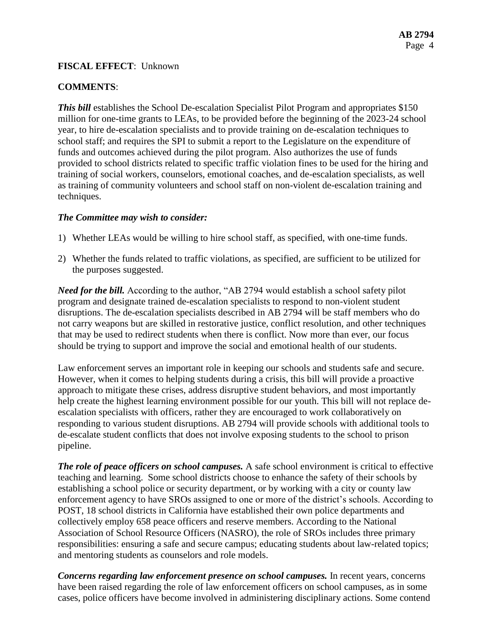### **FISCAL EFFECT**: Unknown

### **COMMENTS**:

**This bill** establishes the School De-escalation Specialist Pilot Program and appropriates \$150 million for one-time grants to LEAs, to be provided before the beginning of the 2023-24 school year, to hire de-escalation specialists and to provide training on de-escalation techniques to school staff; and requires the SPI to submit a report to the Legislature on the expenditure of funds and outcomes achieved during the pilot program. Also authorizes the use of funds provided to school districts related to specific traffic violation fines to be used for the hiring and training of social workers, counselors, emotional coaches, and de-escalation specialists, as well as training of community volunteers and school staff on non-violent de-escalation training and techniques.

#### *The Committee may wish to consider:*

- 1) Whether LEAs would be willing to hire school staff, as specified, with one-time funds.
- 2) Whether the funds related to traffic violations, as specified, are sufficient to be utilized for the purposes suggested.

*Need for the bill.* According to the author, "AB 2794 would establish a school safety pilot program and designate trained de-escalation specialists to respond to non-violent student disruptions. The de-escalation specialists described in AB 2794 will be staff members who do not carry weapons but are skilled in restorative justice, conflict resolution, and other techniques that may be used to redirect students when there is conflict. Now more than ever, our focus should be trying to support and improve the social and emotional health of our students.

Law enforcement serves an important role in keeping our schools and students safe and secure. However, when it comes to helping students during a crisis, this bill will provide a proactive approach to mitigate these crises, address disruptive student behaviors, and most importantly help create the highest learning environment possible for our youth. This bill will not replace deescalation specialists with officers, rather they are encouraged to work collaboratively on responding to various student disruptions. AB 2794 will provide schools with additional tools to de-escalate student conflicts that does not involve exposing students to the school to prison pipeline.

*The role of peace officers on school campuses.* A safe school environment is critical to effective teaching and learning. Some school districts choose to enhance the safety of their schools by establishing a school police or security department, or by working with a city or county law enforcement agency to have SROs assigned to one or more of the district's schools. According to POST, 18 school districts in California have established their own police departments and collectively employ 658 peace officers and reserve members. According to the National Association of School Resource Officers (NASRO), the role of SROs includes three primary responsibilities: ensuring a safe and secure campus; educating students about law-related topics; and mentoring students as counselors and role models.

*Concerns regarding law enforcement presence on school campuses.* In recent years, concerns have been raised regarding the role of law enforcement officers on school campuses, as in some cases, police officers have become involved in administering disciplinary actions. Some contend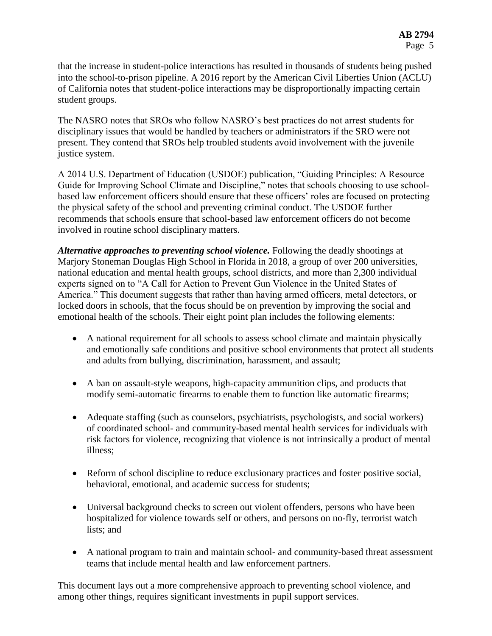that the increase in student-police interactions has resulted in thousands of students being pushed into the school-to-prison pipeline. A 2016 report by the American Civil Liberties Union (ACLU) of California notes that student-police interactions may be disproportionally impacting certain student groups.

The NASRO notes that SROs who follow NASRO's best practices do not arrest students for disciplinary issues that would be handled by teachers or administrators if the SRO were not present. They contend that SROs help troubled students avoid involvement with the juvenile justice system.

A 2014 U.S. Department of Education (USDOE) publication, "Guiding Principles: A Resource Guide for Improving School Climate and Discipline," notes that schools choosing to use schoolbased law enforcement officers should ensure that these officers' roles are focused on protecting the physical safety of the school and preventing criminal conduct. The USDOE further recommends that schools ensure that school-based law enforcement officers do not become involved in routine school disciplinary matters.

*Alternative approaches to preventing school violence.* Following the deadly shootings at Marjory Stoneman Douglas High School in Florida in 2018, a group of over 200 universities, national education and mental health groups, school districts, and more than 2,300 individual experts signed on to "A Call for Action to Prevent Gun Violence in the United States of America." This document suggests that rather than having armed officers, metal detectors, or locked doors in schools, that the focus should be on prevention by improving the social and emotional health of the schools. Their eight point plan includes the following elements:

- A national requirement for all schools to assess school climate and maintain physically and emotionally safe conditions and positive school environments that protect all students and adults from bullying, discrimination, harassment, and assault;
- A ban on assault-style weapons, high-capacity ammunition clips, and products that modify semi-automatic firearms to enable them to function like automatic firearms;
- Adequate staffing (such as counselors, psychiatrists, psychologists, and social workers) of coordinated school- and community-based mental health services for individuals with risk factors for violence, recognizing that violence is not intrinsically a product of mental illness;
- Reform of school discipline to reduce exclusionary practices and foster positive social, behavioral, emotional, and academic success for students;
- Universal background checks to screen out violent offenders, persons who have been hospitalized for violence towards self or others, and persons on no-fly, terrorist watch lists; and
- A national program to train and maintain school- and community-based threat assessment teams that include mental health and law enforcement partners.

This document lays out a more comprehensive approach to preventing school violence, and among other things, requires significant investments in pupil support services.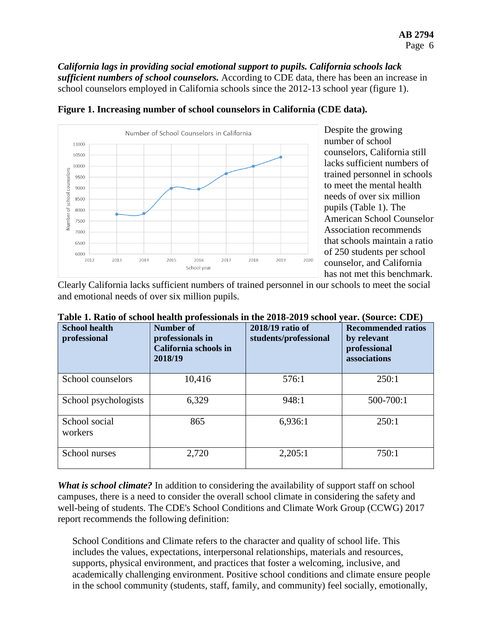*California lags in providing social emotional support to pupils. California schools lack sufficient numbers of school counselors.* According to CDE data, there has been an increase in school counselors employed in California schools since the 2012-13 school year (figure 1).

**Figure 1. Increasing number of school counselors in California (CDE data).**



Despite the growing number of school counselors, California still lacks sufficient numbers of trained personnel in schools to meet the mental health needs of over six million pupils (Table 1). The American School Counselor Association recommends that schools maintain a ratio of 250 students per school counselor, and California has not met this benchmark.

Clearly California lacks sufficient numbers of trained personnel in our schools to meet the social and emotional needs of over six million pupils.

| <b>School health</b><br>professional | Number of<br>professionals in<br>California schools in<br>2018/19 | 2018/19 ratio of<br>students/professional | <b>Recommended ratios</b><br>by relevant<br>professional<br>associations |
|--------------------------------------|-------------------------------------------------------------------|-------------------------------------------|--------------------------------------------------------------------------|
| School counselors                    | 10,416                                                            | 576:1                                     | 250:1                                                                    |
| School psychologists                 | 6,329                                                             | 948:1                                     | 500-700:1                                                                |
| School social<br>workers             | 865                                                               | 6,936:1                                   | 250:1                                                                    |
| School nurses                        | 2,720                                                             | 2,205:1                                   | 750:1                                                                    |

| Table 1. Ratio of school health professionals in the 2018-2019 school year. (Source: CDE) |  |  |
|-------------------------------------------------------------------------------------------|--|--|
|-------------------------------------------------------------------------------------------|--|--|

*What is school climate?* In addition to considering the availability of support staff on school campuses, there is a need to consider the overall school climate in considering the safety and well-being of students. The CDE's School Conditions and Climate Work Group (CCWG) 2017 report recommends the following definition:

School Conditions and Climate refers to the character and quality of school life. This includes the values, expectations, interpersonal relationships, materials and resources, supports, physical environment, and practices that foster a welcoming, inclusive, and academically challenging environment. Positive school conditions and climate ensure people in the school community (students, staff, family, and community) feel socially, emotionally,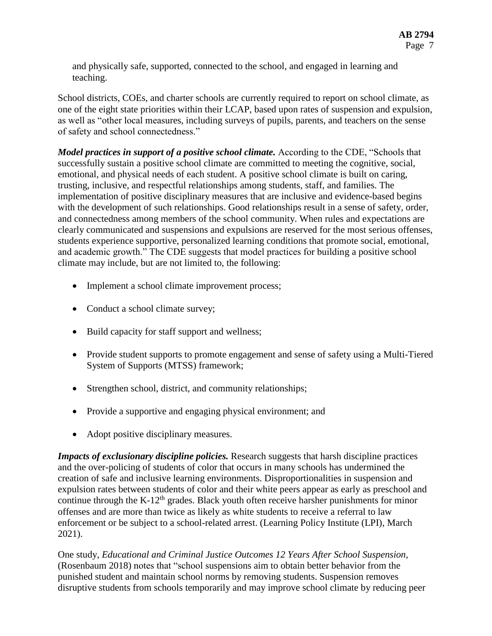and physically safe, supported, connected to the school, and engaged in learning and teaching.

School districts, COEs, and charter schools are currently required to report on school climate, as one of the eight state priorities within their LCAP, based upon rates of suspension and expulsion, as well as "other local measures, including surveys of pupils, parents, and teachers on the sense of safety and school connectedness."

*Model practices in support of a positive school climate.* According to the CDE, "Schools that successfully sustain a positive school climate are committed to meeting the cognitive, social, emotional, and physical needs of each student. A positive school climate is built on caring, trusting, inclusive, and respectful relationships among students, staff, and families. The implementation of positive disciplinary measures that are inclusive and evidence-based begins with the development of such relationships. Good relationships result in a sense of safety, order, and connectedness among members of the school community. When rules and expectations are clearly communicated and suspensions and expulsions are reserved for the most serious offenses, students experience supportive, personalized learning conditions that promote social, emotional, and academic growth." The CDE suggests that model practices for building a positive school climate may include, but are not limited to, the following:

- Implement a school climate improvement process;
- Conduct a school climate survey;
- Build capacity for staff support and wellness;
- Provide student supports to promote engagement and sense of safety using a Multi-Tiered System of Supports (MTSS) framework;
- Strengthen school, district, and community relationships;
- Provide a supportive and engaging physical environment; and
- Adopt positive disciplinary measures.

*Impacts of exclusionary discipline policies.* Research suggests that harsh discipline practices and the over-policing of students of color that occurs in many schools has undermined the creation of safe and inclusive learning environments. Disproportionalities in suspension and expulsion rates between students of color and their white peers appear as early as preschool and continue through the K-12<sup>th</sup> grades. Black youth often receive harsher punishments for minor offenses and are more than twice as likely as white students to receive a referral to law enforcement or be subject to a school-related arrest. (Learning Policy Institute (LPI), March 2021).

One study, *Educational and Criminal Justice Outcomes 12 Years After School Suspension,*  (Rosenbaum 2018) notes that "school suspensions aim to obtain better behavior from the punished student and maintain school norms by removing students. Suspension removes disruptive students from schools temporarily and may improve school climate by reducing peer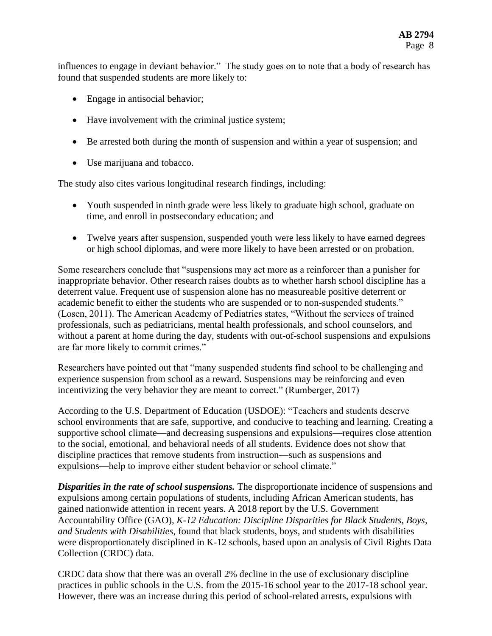influences to engage in deviant behavior." The study goes on to note that a body of research has found that suspended students are more likely to:

- Engage in antisocial behavior;
- Have involvement with the criminal justice system;
- Be arrested both during the month of suspension and within a year of suspension; and
- Use marijuana and tobacco.

The study also cites various longitudinal research findings, including:

- Youth suspended in ninth grade were less likely to graduate high school, graduate on time, and enroll in postsecondary education; and
- Twelve years after suspension, suspended youth were less likely to have earned degrees or high school diplomas, and were more likely to have been arrested or on probation.

Some researchers conclude that "suspensions may act more as a reinforcer than a punisher for inappropriate behavior. Other research raises doubts as to whether harsh school discipline has a deterrent value. Frequent use of suspension alone has no measureable positive deterrent or academic benefit to either the students who are suspended or to non-suspended students." (Losen, 2011). The American Academy of Pediatrics states, "Without the services of trained professionals, such as pediatricians, mental health professionals, and school counselors, and without a parent at home during the day, students with out-of-school suspensions and expulsions are far more likely to commit crimes."

Researchers have pointed out that "many suspended students find school to be challenging and experience suspension from school as a reward. Suspensions may be reinforcing and even incentivizing the very behavior they are meant to correct." (Rumberger, 2017)

According to the U.S. Department of Education (USDOE): "Teachers and students deserve school environments that are safe, supportive, and conducive to teaching and learning. Creating a supportive school climate—and decreasing suspensions and expulsions—requires close attention to the social, emotional, and behavioral needs of all students. Evidence does not show that discipline practices that remove students from instruction—such as suspensions and expulsions—help to improve either student behavior or school climate."

**Disparities in the rate of school suspensions.** The disproportionate incidence of suspensions and expulsions among certain populations of students, including African American students, has gained nationwide attention in recent years. A 2018 report by the U.S. Government Accountability Office (GAO), *K-12 Education: Discipline Disparities for Black Students, Boys, and Students with Disabilities,* found that black students, boys, and students with disabilities were disproportionately disciplined in K-12 schools, based upon an analysis of Civil Rights Data Collection (CRDC) data.

CRDC data show that there was an overall 2% decline in the use of exclusionary discipline practices in public schools in the U.S. from the 2015-16 school year to the 2017-18 school year. However, there was an increase during this period of school-related arrests, expulsions with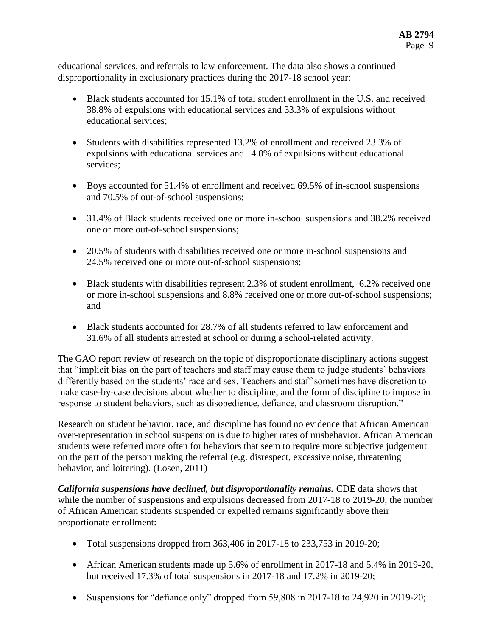educational services, and referrals to law enforcement. The data also shows a continued disproportionality in exclusionary practices during the 2017-18 school year:

- Black students accounted for 15.1% of total student enrollment in the U.S. and received 38.8% of expulsions with educational services and 33.3% of expulsions without educational services;
- Students with disabilities represented 13.2% of enrollment and received 23.3% of expulsions with educational services and 14.8% of expulsions without educational services;
- Boys accounted for 51.4% of enrollment and received 69.5% of in-school suspensions and 70.5% of out-of-school suspensions;
- 31.4% of Black students received one or more in-school suspensions and 38.2% received one or more out-of-school suspensions;
- 20.5% of students with disabilities received one or more in-school suspensions and 24.5% received one or more out-of-school suspensions;
- Black students with disabilities represent 2.3% of student enrollment, 6.2% received one or more in-school suspensions and 8.8% received one or more out-of-school suspensions; and
- Black students accounted for 28.7% of all students referred to law enforcement and 31.6% of all students arrested at school or during a school-related activity.

The GAO report review of research on the topic of disproportionate disciplinary actions suggest that "implicit bias on the part of teachers and staff may cause them to judge students' behaviors differently based on the students' race and sex. Teachers and staff sometimes have discretion to make case-by-case decisions about whether to discipline, and the form of discipline to impose in response to student behaviors, such as disobedience, defiance, and classroom disruption."

Research on student behavior, race, and discipline has found no evidence that African American over-representation in school suspension is due to higher rates of misbehavior. African American students were referred more often for behaviors that seem to require more subjective judgement on the part of the person making the referral (e.g. disrespect, excessive noise, threatening behavior, and loitering). (Losen, 2011)

*California suspensions have declined, but disproportionality remains.* CDE data shows that while the number of suspensions and expulsions decreased from 2017-18 to 2019-20, the number of African American students suspended or expelled remains significantly above their proportionate enrollment:

- Total suspensions dropped from  $363,406$  in  $2017-18$  to  $233,753$  in  $2019-20$ ;
- African American students made up 5.6% of enrollment in 2017-18 and 5.4% in 2019-20, but received 17.3% of total suspensions in 2017-18 and 17.2% in 2019-20;
- Suspensions for "defiance only" dropped from 59,808 in 2017-18 to 24,920 in 2019-20;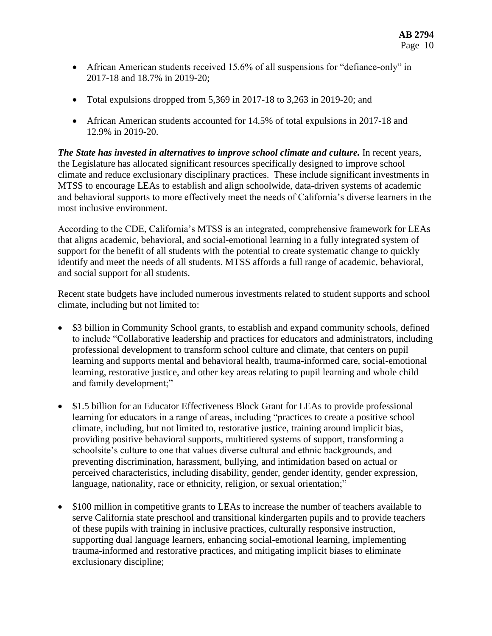- African American students received 15.6% of all suspensions for "defiance-only" in 2017-18 and 18.7% in 2019-20;
- Total expulsions dropped from  $5,369$  in 2017-18 to 3,263 in 2019-20; and
- African American students accounted for 14.5% of total expulsions in 2017-18 and 12.9% in 2019-20.

*The State has invested in alternatives to improve school climate and culture.* In recent years, the Legislature has allocated significant resources specifically designed to improve school climate and reduce exclusionary disciplinary practices. These include significant investments in MTSS to encourage LEAs to establish and align schoolwide, data-driven systems of academic and behavioral supports to more effectively meet the needs of California's diverse learners in the most inclusive environment.

According to the CDE, California's MTSS is an integrated, comprehensive framework for LEAs that aligns academic, behavioral, and social-emotional learning in a fully integrated system of support for the benefit of all students with the potential to create systematic change to quickly identify and meet the needs of all students. MTSS affords a full range of academic, behavioral, and social support for all students.

Recent state budgets have included numerous investments related to student supports and school climate, including but not limited to:

- \$3 billion in Community School grants, to establish and expand community schools, defined to include "Collaborative leadership and practices for educators and administrators, including professional development to transform school culture and climate, that centers on pupil learning and supports mental and behavioral health, trauma-informed care, social-emotional learning, restorative justice, and other key areas relating to pupil learning and whole child and family development;"
- \$1.5 billion for an Educator Effectiveness Block Grant for LEAs to provide professional learning for educators in a range of areas, including "practices to create a positive school climate, including, but not limited to, restorative justice, training around implicit bias, providing positive behavioral supports, multitiered systems of support, transforming a schoolsite's culture to one that values diverse cultural and ethnic backgrounds, and preventing discrimination, harassment, bullying, and intimidation based on actual or perceived characteristics, including disability, gender, gender identity, gender expression, language, nationality, race or ethnicity, religion, or sexual orientation;"
- \$100 million in competitive grants to LEAs to increase the number of teachers available to serve California state preschool and transitional kindergarten pupils and to provide teachers of these pupils with training in inclusive practices, culturally responsive instruction, supporting dual language learners, enhancing social-emotional learning, implementing trauma-informed and restorative practices, and mitigating implicit biases to eliminate exclusionary discipline;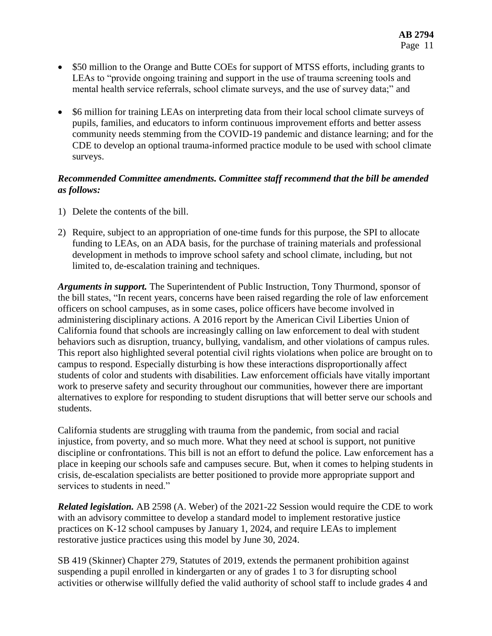- \$50 million to the Orange and Butte COEs for support of MTSS efforts, including grants to LEAs to "provide ongoing training and support in the use of trauma screening tools and mental health service referrals, school climate surveys, and the use of survey data;" and
- \$6 million for training LEAs on interpreting data from their local school climate surveys of pupils, families, and educators to inform continuous improvement efforts and better assess community needs stemming from the COVID-19 pandemic and distance learning; and for the CDE to develop an optional trauma-informed practice module to be used with school climate surveys.

### *Recommended Committee amendments. Committee staff recommend that the bill be amended as follows:*

- 1) Delete the contents of the bill.
- 2) Require, subject to an appropriation of one-time funds for this purpose, the SPI to allocate funding to LEAs, on an ADA basis, for the purchase of training materials and professional development in methods to improve school safety and school climate, including, but not limited to, de-escalation training and techniques.

*Arguments in support.* The Superintendent of Public Instruction, Tony Thurmond, sponsor of the bill states, "In recent years, concerns have been raised regarding the role of law enforcement officers on school campuses, as in some cases, police officers have become involved in administering disciplinary actions. A 2016 report by the American Civil Liberties Union of California found that schools are increasingly calling on law enforcement to deal with student behaviors such as disruption, truancy, bullying, vandalism, and other violations of campus rules. This report also highlighted several potential civil rights violations when police are brought on to campus to respond. Especially disturbing is how these interactions disproportionally affect students of color and students with disabilities. Law enforcement officials have vitally important work to preserve safety and security throughout our communities, however there are important alternatives to explore for responding to student disruptions that will better serve our schools and students.

California students are struggling with trauma from the pandemic, from social and racial injustice, from poverty, and so much more. What they need at school is support, not punitive discipline or confrontations. This bill is not an effort to defund the police. Law enforcement has a place in keeping our schools safe and campuses secure. But, when it comes to helping students in crisis, de-escalation specialists are better positioned to provide more appropriate support and services to students in need."

*Related legislation.* AB 2598 (A. Weber) of the 2021-22 Session would require the CDE to work with an advisory committee to develop a standard model to implement restorative justice practices on K-12 school campuses by January 1, 2024, and require LEAs to implement restorative justice practices using this model by June 30, 2024.

SB 419 (Skinner) Chapter 279, Statutes of 2019, extends the permanent prohibition against suspending a pupil enrolled in kindergarten or any of grades 1 to 3 for disrupting school activities or otherwise willfully defied the valid authority of school staff to include grades 4 and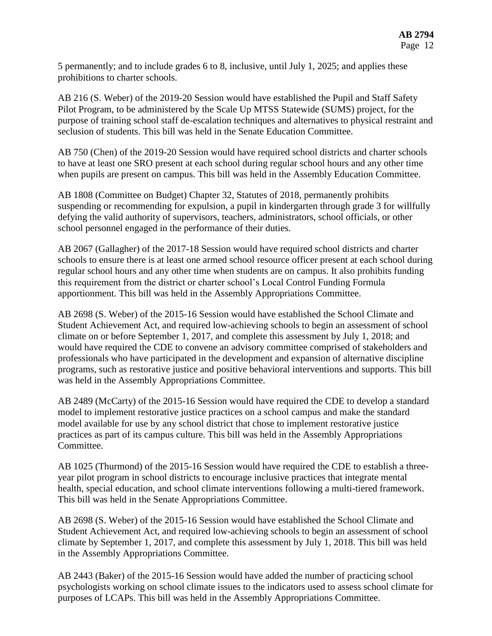5 permanently; and to include grades 6 to 8, inclusive, until July 1, 2025; and applies these prohibitions to charter schools.

AB 216 (S. Weber) of the 2019-20 Session would have established the Pupil and Staff Safety Pilot Program, to be administered by the Scale Up MTSS Statewide (SUMS) project, for the purpose of training school staff de-escalation techniques and alternatives to physical restraint and seclusion of students. This bill was held in the Senate Education Committee.

AB 750 (Chen) of the 2019-20 Session would have required school districts and charter schools to have at least one SRO present at each school during regular school hours and any other time when pupils are present on campus. This bill was held in the Assembly Education Committee.

AB 1808 (Committee on Budget) Chapter 32, Statutes of 2018, permanently prohibits suspending or recommending for expulsion, a pupil in kindergarten through grade 3 for willfully defying the valid authority of supervisors, teachers, administrators, school officials, or other school personnel engaged in the performance of their duties.

AB 2067 (Gallagher) of the 2017-18 Session would have required school districts and charter schools to ensure there is at least one armed school resource officer present at each school during regular school hours and any other time when students are on campus. It also prohibits funding this requirement from the district or charter school's Local Control Funding Formula apportionment. This bill was held in the Assembly Appropriations Committee.

AB 2698 (S. Weber) of the 2015-16 Session would have established the School Climate and Student Achievement Act, and required low-achieving schools to begin an assessment of school climate on or before September 1, 2017, and complete this assessment by July 1, 2018; and would have required the CDE to convene an advisory committee comprised of stakeholders and professionals who have participated in the development and expansion of alternative discipline programs, such as restorative justice and positive behavioral interventions and supports. This bill was held in the Assembly Appropriations Committee.

AB 2489 (McCarty) of the 2015-16 Session would have required the CDE to develop a standard model to implement restorative justice practices on a school campus and make the standard model available for use by any school district that chose to implement restorative justice practices as part of its campus culture. This bill was held in the Assembly Appropriations Committee.

AB 1025 (Thurmond) of the 2015-16 Session would have required the CDE to establish a threeyear pilot program in school districts to encourage inclusive practices that integrate mental health, special education, and school climate interventions following a multi-tiered framework. This bill was held in the Senate Appropriations Committee.

AB 2698 (S. Weber) of the 2015-16 Session would have established the School Climate and Student Achievement Act, and required low-achieving schools to begin an assessment of school climate by September 1, 2017, and complete this assessment by July 1, 2018. This bill was held in the Assembly Appropriations Committee.

AB 2443 (Baker) of the 2015-16 Session would have added the number of practicing school psychologists working on school climate issues to the indicators used to assess school climate for purposes of LCAPs. This bill was held in the Assembly Appropriations Committee.